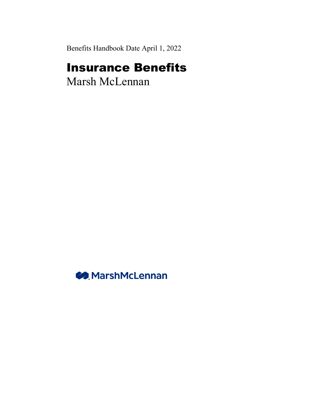Benefits Handbook Date April 1, 2022

# Insurance Benefits

Marsh McLennan